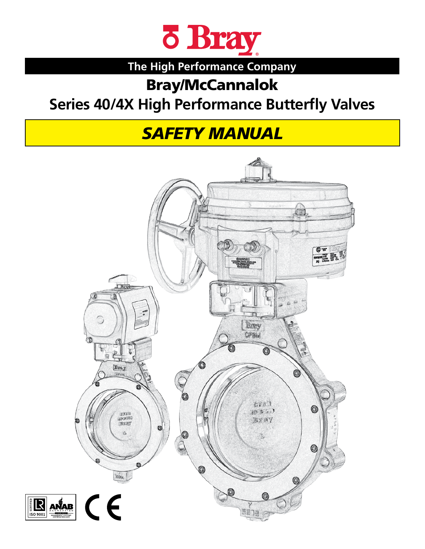

# **The High Performance Company**

# Bray/McCannalok

# **Series 40/4X High Performance Butterfly Valves**

# *SAFETY MANUAL*

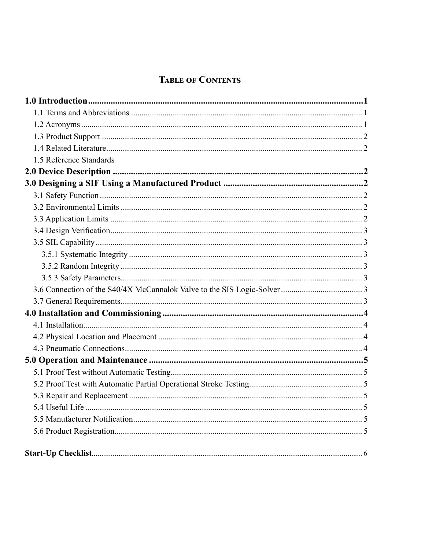# **TABLE OF CONTENTS**

| 1.5 Reference Standards |
|-------------------------|
|                         |
|                         |
|                         |
|                         |
|                         |
|                         |
|                         |
|                         |
|                         |
|                         |
|                         |
|                         |
|                         |
|                         |
|                         |
|                         |
|                         |
|                         |
|                         |
|                         |
|                         |
|                         |
|                         |
|                         |
|                         |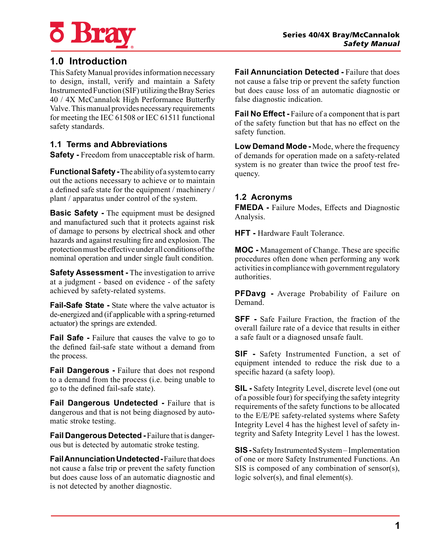

# **1.0 Introduction**

This Safety Manual provides information necessary to design, install, verify and maintain a Safety Instrumented Function (SIF) utilizing the Bray Series 40 / 4X McCannalok High Performance Butterfly Valve. This manual provides necessary requirements for meeting the IEC 61508 or IEC 61511 functional safety standards.

#### **1.1 Terms and Abbreviations**

**Safety -** Freedom from unacceptable risk of harm.

**Functional Safety -** The ability of a system to carry out the actions necessary to achieve or to maintain a defined safe state for the equipment / machinery / plant / apparatus under control of the system.

**Basic Safety -** The equipment must be designed and manufactured such that it protects against risk of damage to persons by electrical shock and other hazards and against resulting fire and explosion. The protection must be effective under all conditions of the nominal operation and under single fault condition.

**Safety Assessment -** The investigation to arrive at a judgment - based on evidence - of the safety achieved by safety-related systems.

**Fail-Safe State -** State where the valve actuator is de-energized and (if applicable with a spring-returned actuator) the springs are extended.

**Fail Safe -** Failure that causes the valve to go to the defined fail-safe state without a demand from the process.

**Fail Dangerous -** Failure that does not respond to a demand from the process (i.e. being unable to go to the defined fail-safe state).

**Fail Dangerous Undetected -** Failure that is dangerous and that is not being diagnosed by automatic stroke testing.

**Fail Dangerous Detected -** Failure that is dangerous but is detected by automatic stroke testing.

**Fail Annunciation Undetected -** Failure that does not cause a false trip or prevent the safety function but does cause loss of an automatic diagnostic and is not detected by another diagnostic.

**Fail Annunciation Detected -** Failure that does not cause a false trip or prevent the safety function but does cause loss of an automatic diagnostic or false diagnostic indication.

**Fail No Effect -** Failure of a component that is part of the safety function but that has no effect on the safety function.

**Low Demand Mode -** Mode, where the frequency of demands for operation made on a safety-related system is no greater than twice the proof test frequency.

#### **1.2 Acronyms**

**FMEDA -** Failure Modes, Effects and Diagnostic Analysis.

**HFT -** Hardware Fault Tolerance.

**MOC -** Management of Change. These are specific procedures often done when performing any work activities in compliance with government regulatory authorities.

**PFDavg -** Average Probability of Failure on Demand.

**SFF** - Safe Failure Fraction, the fraction of the overall failure rate of a device that results in either a safe fault or a diagnosed unsafe fault.

**SIF -** Safety Instrumented Function, a set of equipment intended to reduce the risk due to a specific hazard (a safety loop).

**SIL -** Safety Integrity Level, discrete level (one out of a possible four) for specifying the safety integrity requirements of the safety functions to be allocated to the E/E/PE safety-related systems where Safety Integrity Level 4 has the highest level of safety integrity and Safety Integrity Level 1 has the lowest.

**SIS -** Safety Instrumented System – Implementation of one or more Safety Instrumented Functions. An SIS is composed of any combination of sensor(s), logic solver(s), and final element(s).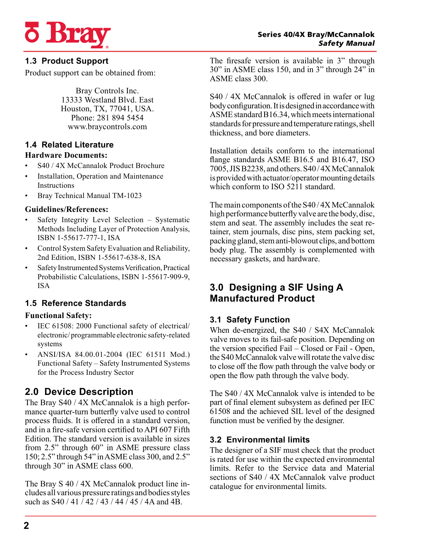

## **1.3 Product Support**

Product support can be obtained from:

Bray Controls Inc. 13333 Westland Blvd. East Houston, TX, 77041, USA. Phone: 281 894 5454 www.braycontrols.com

# **1.4 Related Literature**

#### **Hardware Documents:**

- S40 / 4X McCannalok Product Brochure
- Installation, Operation and Maintenance Instructions
- Bray Technical Manual TM-1023

#### **Guidelines/References:**

- Safety Integrity Level Selection Systematic Methods Including Layer of Protection Analysis, ISBN 1-55617-777-1, ISA
- Control System Safety Evaluation and Reliability, 2nd Edition, ISBN 1-55617-638-8, ISA
- Safety Instrumented Systems Verification, Practical Probabilistic Calculations, ISBN 1-55617-909-9, ISA

# **1.5 Reference Standards**

#### **Functional Safety:**

- IEC 61508: 2000 Functional safety of electrical/ electronic/ programmable electronic safety-related systems
- ANSI/ISA 84.00.01-2004 (IEC 61511 Mod.) Functional Safety – Safety Instrumented Systems for the Process Industry Sector

# **2.0 Device Description**

The Bray S40 / 4X McCannalok is a high performance quarter-turn butterfly valve used to control process fluids. It is offered in a standard version, and in a fire-safe version certified to API 607 Fifth Edition. The standard version is available in sizes from 2.5" through 60" in ASME pressure class 150; 2.5" through 54" in ASME class 300, and 2.5" through 30" in ASME class 600.

The Bray S 40 / 4X McCannalok product line includes all various pressure ratings and bodies styles such as  $S40 / 41 / 42 / 43 / 44 / 45 / 4A$  and 4B.

The firesafe version is available in 3" through 30" in ASME class 150, and in 3" through 24" in ASME class 300.

S40 / 4X McCannalok is offered in wafer or lug body configuration. It is designed in accordance with ASME standard B16.34, which meets international standards for pressure and temperature ratings, shell thickness, and bore diameters.

Installation details conform to the international flange standards ASME B16.5 and B16.47, ISO 7005, JIS B2238, and others. S40 / 4X McCannalok is provided with actuator/operator mounting details which conform to ISO 5211 standard.

The main components of the S40 / 4X McCannalok high performance butterfly valve are the body, disc, stem and seat. The assembly includes the seat retainer, stem journals, disc pins, stem packing set, packing gland, stem anti-blowout clips, and bottom body plug. The assembly is complemented with necessary gaskets, and hardware.

# **3.0 Designing a SIF Using A Manufactured Product**

## **3.1 Safety Function**

When de-energized, the S40 / S4X McCannalok valve moves to its fail-safe position. Depending on the version specified Fail – Closed or Fail - Open, the S40 McCannalok valve will rotate the valve disc to close off the flow path through the valve body or open the flow path through the valve body.

The S40 / 4X McCannalok valve is intended to be part of final element subsystem as defined per IEC 61508 and the achieved SIL level of the designed function must be verified by the designer.

## **3.2 Environmental limits**

The designer of a SIF must check that the product is rated for use within the expected environmental limits. Refer to the Service data and Material sections of S40 / 4X McCannalok valve product catalogue for environmental limits.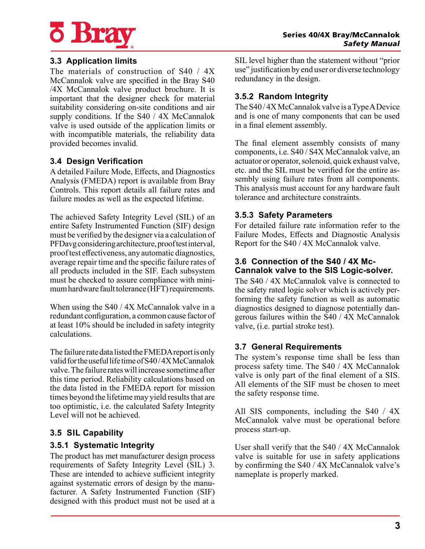

#### **3.3 Application limits**

The materials of construction of S40 / 4X McCannalok valve are specified in the Bray S40 /4X McCannalok valve product brochure. It is important that the designer check for material suitability considering on-site conditions and air supply conditions. If the S40 / 4X McCannalok valve is used outside of the application limits or with incompatible materials, the reliability data provided becomes invalid.

#### **3.4 Design Verification**

A detailed Failure Mode, Effects, and Diagnostics Analysis (FMEDA) report is available from Bray Controls. This report details all failure rates and failure modes as well as the expected lifetime.

The achieved Safety Integrity Level (SIL) of an entire Safety Instrumented Function (SIF) design must be verified by the designer via a calculation of PFDavg considering architecture, proof test interval, proof test effectiveness, any automatic diagnostics, average repair time and the specific failure rates of all products included in the SIF. Each subsystem must be checked to assure compliance with minimum hardware fault tolerance (HFT) requirements.

When using the S40 / 4X McCannalok valve in a redundant configuration, a common cause factor of at least 10% should be included in safety integrity calculations.

The failure rate data listed the FMEDA report is only valid for the useful life time of S40 / 4X McCannalok valve. The failure rates will increase sometime after this time period. Reliability calculations based on the data listed in the FMEDA report for mission times beyond the lifetime may yield results that are too optimistic, i.e. the calculated Safety Integrity Level will not be achieved.

#### **3.5 SIL Capability**

#### **3.5.1 Systematic Integrity**

The product has met manufacturer design process requirements of Safety Integrity Level (SIL) 3. These are intended to achieve sufficient integrity against systematic errors of design by the manufacturer. A Safety Instrumented Function (SIF) designed with this product must not be used at a

SIL level higher than the statement without "prior use" justification by end user or diverse technology redundancy in the design.

#### **3.5.2 Random Integrity**

The S40 / 4X McCannalok valve is a Type A Device and is one of many components that can be used in a final element assembly.

The final element assembly consists of many components, i.e. S40 / S4X McCannalok valve, an actuator or operator, solenoid, quick exhaust valve, etc. and the SIL must be verified for the entire assembly using failure rates from all components. This analysis must account for any hardware fault tolerance and architecture constraints.

#### **3.5.3 Safety Parameters**

For detailed failure rate information refer to the Failure Modes, Effects and Diagnostic Analysis Report for the S40 / 4X McCannalok valve.

#### **3.6 Connection of the S40 / 4X Mc-Cannalok valve to the SIS Logic-solver.**

The S40 / 4X McCannalok valve is connected to the safety rated logic solver which is actively performing the safety function as well as automatic diagnostics designed to diagnose potentially dangerous failures within the S40 / 4X McCannalok valve, (i.e. partial stroke test).

#### **3.7 General Requirements**

The system's response time shall be less than process safety time. The S40 / 4X McCannalok valve is only part of the final element of a SIS. All elements of the SIF must be chosen to meet the safety response time.

All SIS components, including the S40 / 4X McCannalok valve must be operational before process start-up.

User shall verify that the S40 / 4X McCannalok valve is suitable for use in safety applications by confirming the S40 / 4X McCannalok valve's nameplate is properly marked.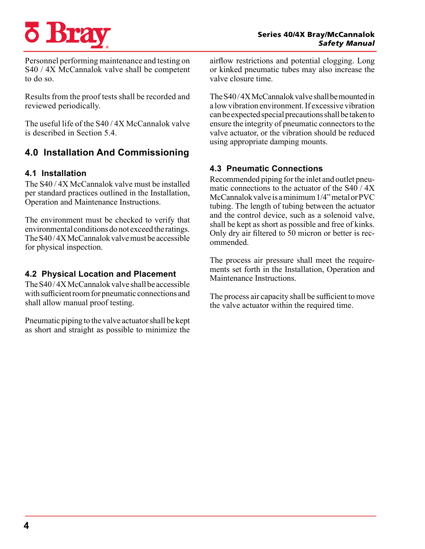# **o Bra**

Personnel performing maintenance and testing on S40 / 4X McCannalok valve shall be competent to do so.

Results from the proof tests shall be recorded and reviewed periodically.

The useful life of the S40 / 4X McCannalok valve is described in Section 5.4.

# **4.0 Installation And Commissioning**

## **4.1 Installation**

The S40 / 4X McCannalok valve must be installed per standard practices outlined in the Installation, Operation and Maintenance Instructions.

The environment must be checked to verify that environmental conditions do not exceed the ratings. The S40 / 4X McCannalok valve must be accessible for physical inspection.

#### **4.2 Physical Location and Placement**

The S40 / 4X McCannalok valve shall be accessible with sufficient room for pneumatic connections and shall allow manual proof testing.

Pneumatic piping to the valve actuator shall be kept as short and straight as possible to minimize the airflow restrictions and potential clogging. Long or kinked pneumatic tubes may also increase the valve closure time.

The S40 / 4X McCannalok valve shall be mounted in a low vibration environment. If excessive vibration can be expected special precautions shall be taken to ensure the integrity of pneumatic connectors to the valve actuator, or the vibration should be reduced using appropriate damping mounts.

## **4.3 Pneumatic Connections**

Recommended piping for the inlet and outlet pneumatic connections to the actuator of the  $S40 / 4X$ McCannalok valve is a minimum 1/4" metal or PVC tubing. The length of tubing between the actuator and the control device, such as a solenoid valve, shall be kept as short as possible and free of kinks. Only dry air filtered to 50 micron or better is recommended.

The process air pressure shall meet the requirements set forth in the Installation, Operation and Maintenance Instructions.

The process air capacity shall be sufficient to move the valve actuator within the required time.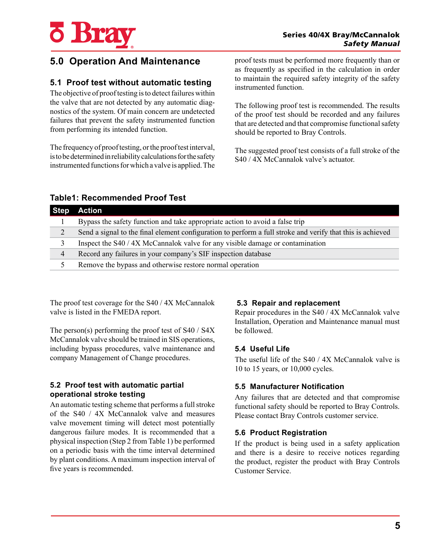

# **5.0 Operation And Maintenance**

#### **5.1 Proof test without automatic testing**

The objective of proof testing is to detect failures within the valve that are not detected by any automatic diagnostics of the system. Of main concern are undetected failures that prevent the safety instrumented function from performing its intended function.

The frequency of proof testing, or the proof test interval, is to be determined in reliability calculations for the safety instrumented functions for which a valve is applied. The

proof tests must be performed more frequently than or as frequently as specified in the calculation in order to maintain the required safety integrity of the safety instrumented function.

The following proof test is recommended. The results of the proof test should be recorded and any failures that are detected and that compromise functional safety should be reported to Bray Controls.

The suggested proof test consists of a full stroke of the S40 / 4X McCannalok valve's actuator.

| <b>Step</b> | Action                                                                                                     |  |  |  |
|-------------|------------------------------------------------------------------------------------------------------------|--|--|--|
|             | Bypass the safety function and take appropriate action to avoid a false trip                               |  |  |  |
| 2           | Send a signal to the final element configuration to perform a full stroke and verify that this is achieved |  |  |  |
| 3           | Inspect the S40 / 4X McCannalok valve for any visible damage or contamination                              |  |  |  |
| 4           | Record any failures in your company's SIF inspection database                                              |  |  |  |
|             | Remove the bypass and otherwise restore normal operation                                                   |  |  |  |

#### **Table1: Recommended Proof Test**

The proof test coverage for the S40 / 4X McCannalok valve is listed in the FMEDA report.

The person(s) performing the proof test of S40 / S4X McCannalok valve should be trained in SIS operations, including bypass procedures, valve maintenance and company Management of Change procedures.

#### **5.2 Proof test with automatic partial operational stroke testing**

An automatic testing scheme that performs a full stroke of the S40 / 4X McCannalok valve and measures valve movement timing will detect most potentially dangerous failure modes. It is recommended that a physical inspection (Step 2 from Table 1) be performed on a periodic basis with the time interval determined by plant conditions. A maximum inspection interval of five years is recommended.

#### **5.3 Repair and replacement**

Repair procedures in the S40 / 4X McCannalok valve Installation, Operation and Maintenance manual must be followed.

#### **5.4 Useful Life**

The useful life of the S40 / 4X McCannalok valve is 10 to 15 years, or 10,000 cycles.

#### **5.5 Manufacturer Notification**

Any failures that are detected and that compromise functional safety should be reported to Bray Controls. Please contact Bray Controls customer service.

#### **5.6 Product Registration**

If the product is being used in a safety application and there is a desire to receive notices regarding the product, register the product with Bray Controls Customer Service.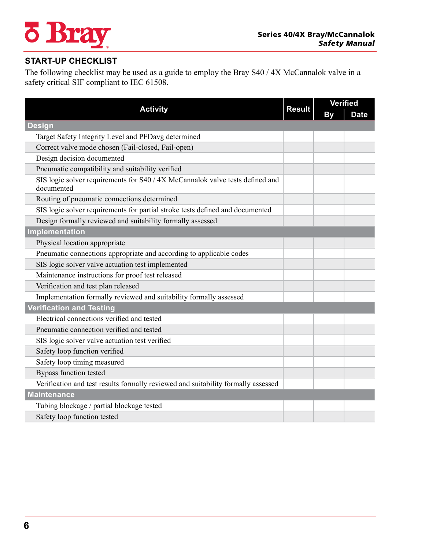# **¿ Bray**

# **START-UP CHECKLIST**

The following checklist may be used as a guide to employ the Bray S40 / 4X McCannalok valve in a safety critical SIF compliant to IEC 61508.

|                                                                                             | <b>Result</b> | <b>Verified</b> |             |  |
|---------------------------------------------------------------------------------------------|---------------|-----------------|-------------|--|
| <b>Activity</b>                                                                             |               | By              | <b>Date</b> |  |
| <b>Design</b>                                                                               |               |                 |             |  |
| Target Safety Integrity Level and PFDavg determined                                         |               |                 |             |  |
| Correct valve mode chosen (Fail-closed, Fail-open)                                          |               |                 |             |  |
| Design decision documented                                                                  |               |                 |             |  |
| Pneumatic compatibility and suitability verified                                            |               |                 |             |  |
| SIS logic solver requirements for S40 / 4X McCannalok valve tests defined and<br>documented |               |                 |             |  |
| Routing of pneumatic connections determined                                                 |               |                 |             |  |
| SIS logic solver requirements for partial stroke tests defined and documented               |               |                 |             |  |
| Design formally reviewed and suitability formally assessed                                  |               |                 |             |  |
| Implementation                                                                              |               |                 |             |  |
| Physical location appropriate                                                               |               |                 |             |  |
| Pneumatic connections appropriate and according to applicable codes                         |               |                 |             |  |
| SIS logic solver valve actuation test implemented                                           |               |                 |             |  |
| Maintenance instructions for proof test released                                            |               |                 |             |  |
| Verification and test plan released                                                         |               |                 |             |  |
| Implementation formally reviewed and suitability formally assessed                          |               |                 |             |  |
| <b>Verification and Testing</b>                                                             |               |                 |             |  |
| Electrical connections verified and tested                                                  |               |                 |             |  |
| Pneumatic connection verified and tested                                                    |               |                 |             |  |
| SIS logic solver valve actuation test verified                                              |               |                 |             |  |
| Safety loop function verified                                                               |               |                 |             |  |
| Safety loop timing measured                                                                 |               |                 |             |  |
| Bypass function tested                                                                      |               |                 |             |  |
| Verification and test results formally reviewed and suitability formally assessed           |               |                 |             |  |
| <b>Maintenance</b>                                                                          |               |                 |             |  |
| Tubing blockage / partial blockage tested                                                   |               |                 |             |  |
| Safety loop function tested                                                                 |               |                 |             |  |